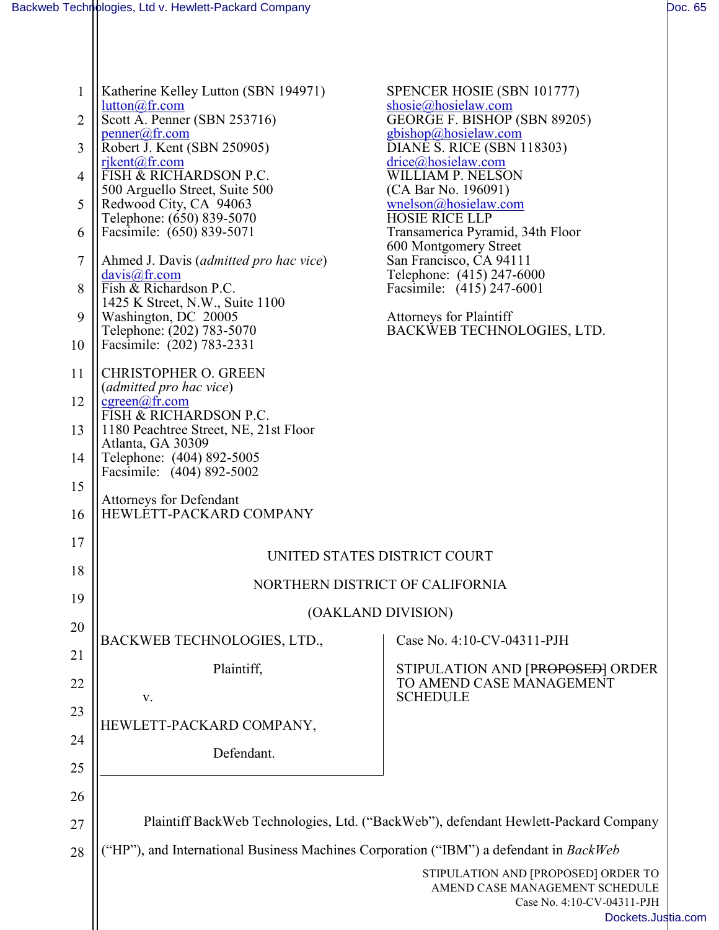| $\mathbf{1}$<br>$\overline{2}$<br>3 | Katherine Kelley Lutton (SBN 194971)<br>$lutton@f$ r.com<br>Scott A. Penner (SBN 253716)<br>penner(a)fr.com<br>Robert J. Kent (SBN 250905) | SPENCER HOSIE (SBN 101777)<br>shosie@hosielaw.com<br>GEORGE F. BISHOP (SBN 89205)<br>$gbishop(a)$ hosielaw.com<br>DIANE S. RICE (SBN 118303) |  |
|-------------------------------------|--------------------------------------------------------------------------------------------------------------------------------------------|----------------------------------------------------------------------------------------------------------------------------------------------|--|
| 4                                   | $riken(a)$ fr.com<br>FISH & RICHARDSON P.C.<br>500 Arguello Street, Suite 500                                                              | $\text{drive}$ @hosielaw.com<br>WILLIAM P. NELSON<br>(CA Bar No. 196091)                                                                     |  |
| 5                                   | Redwood City, CA 94063<br>Telephone: (650) 839-5070                                                                                        | wnelson@hosielaw.com<br><b>HOSIE RICE LLP</b>                                                                                                |  |
| 6                                   | Facsimile: (650) 839-5071                                                                                                                  | Transamerica Pyramid, 34th Floor<br>600 Montgomery Street                                                                                    |  |
| $\overline{7}$                      | Ahmed J. Davis (admitted pro hac vice)<br>$davis@$ fr.com                                                                                  | San Francisco, CA 94111<br>Telephone: (415) 247-6000                                                                                         |  |
| 8                                   | Fish & Richardson P.C.<br>1425 K Street, N.W., Suite 1100                                                                                  | Facsimile: (415) 247-6001                                                                                                                    |  |
| 9<br>10                             | Washington, DC 20005<br>Telephone: (202) 783-5070<br>Facsimile: (202) 783-2331                                                             | <b>Attorneys for Plaintiff</b><br>BACKWEB TECHNOLOGIES, LTD.                                                                                 |  |
| 11                                  | <b>CHRISTOPHER O. GREEN</b><br>(admitted pro hac vice)                                                                                     |                                                                                                                                              |  |
| 12                                  | $cgreen(a)$ fr.com<br>FISH & RICHARDSON P.C.                                                                                               |                                                                                                                                              |  |
| 13                                  | 1180 Peachtree Street, NE, 21st Floor<br>Atlanta, GA 30309                                                                                 |                                                                                                                                              |  |
| 14                                  | Telephone: (404) 892-5005<br>Facsimile: (404) 892-5002                                                                                     |                                                                                                                                              |  |
| 15                                  | <b>Attorneys for Defendant</b>                                                                                                             |                                                                                                                                              |  |
| 16<br>17                            | HEWLETT-PACKARD COMPANY                                                                                                                    |                                                                                                                                              |  |
| 18                                  | UNITED STATES DISTRICT COURT                                                                                                               |                                                                                                                                              |  |
| 19                                  | NORTHERN DISTRICT OF CALIFORNIA                                                                                                            |                                                                                                                                              |  |
| 20                                  |                                                                                                                                            | (OAKLAND DIVISION)                                                                                                                           |  |
| 21                                  | <b>BACKWEB TECHNOLOGIES, LTD.,</b>                                                                                                         | Case No. 4:10-CV-04311-PJH                                                                                                                   |  |
| 22                                  | Plaintiff,                                                                                                                                 | STIPULATION AND [PROPOSED] ORDER<br>TO AMEND CASE MANAGEMENT                                                                                 |  |
| 23                                  | V.                                                                                                                                         | <b>SCHEDULE</b>                                                                                                                              |  |
| 24                                  | HEWLETT-PACKARD COMPANY,                                                                                                                   |                                                                                                                                              |  |
| 25                                  | Defendant.                                                                                                                                 |                                                                                                                                              |  |
| 26                                  |                                                                                                                                            |                                                                                                                                              |  |
| 27                                  |                                                                                                                                            | Plaintiff BackWeb Technologies, Ltd. ("BackWeb"), defendant Hewlett-Packard Company                                                          |  |
| 28                                  | ("HP"), and International Business Machines Corporation ("IBM") a defendant in BackWeb                                                     |                                                                                                                                              |  |
|                                     | STIPULATION AND [PROPOSED] ORDER TO<br>AMEND CASE MANAGEMENT SCHEDULE<br>Case No. 4:10-CV-04311-PJH<br>Dockets.Justia                      |                                                                                                                                              |  |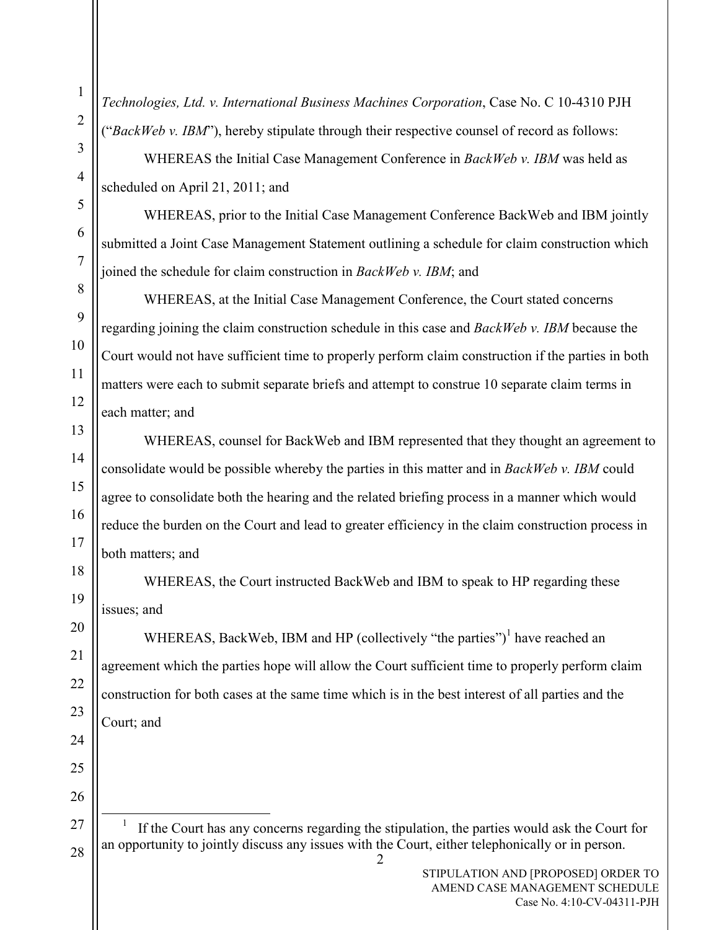Technologies, Ltd. v. International Business Machines Corporation, Case No. C 10-4310 PJH ("BackWeb v. IBM"), hereby stipulate through their respective counsel of record as follows:

WHEREAS the Initial Case Management Conference in BackWeb v. IBM was held as scheduled on April 21, 2011; and

WHEREAS, prior to the Initial Case Management Conference BackWeb and IBM jointly submitted a Joint Case Management Statement outlining a schedule for claim construction which joined the schedule for claim construction in BackWeb v. IBM; and

WHEREAS, at the Initial Case Management Conference, the Court stated concerns regarding joining the claim construction schedule in this case and *BackWeb v. IBM* because the Court would not have sufficient time to properly perform claim construction if the parties in both matters were each to submit separate briefs and attempt to construe 10 separate claim terms in each matter; and

WHEREAS, counsel for BackWeb and IBM represented that they thought an agreement to consolidate would be possible whereby the parties in this matter and in BackWeb v. IBM could agree to consolidate both the hearing and the related briefing process in a manner which would reduce the burden on the Court and lead to greater efficiency in the claim construction process in both matters; and

WHEREAS, the Court instructed BackWeb and IBM to speak to HP regarding these issues; and

WHEREAS, BackWeb, IBM and HP (collectively "the parties")<sup>1</sup> have reached an agreement which the parties hope will allow the Court sufficient time to properly perform claim construction for both cases at the same time which is in the best interest of all parties and the Court; and

2

1

 $\overline{a}$ 1 If the Court has any concerns regarding the stipulation, the parties would ask the Court for an opportunity to jointly discuss any issues with the Court, either telephonically or in person.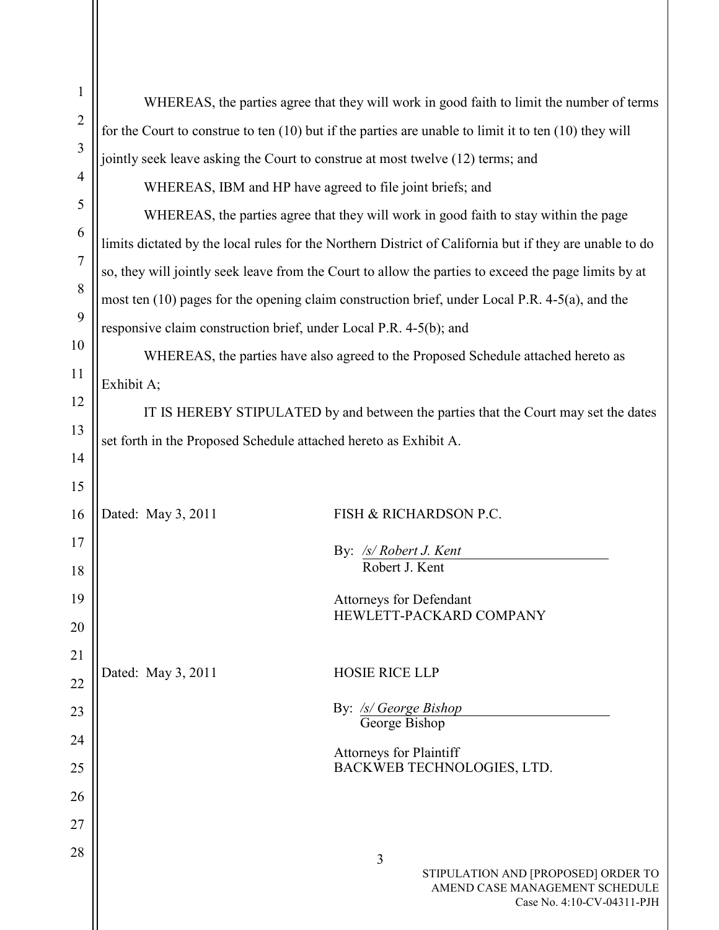| $\mathbf{1}$   |                                                                                                           |                                                                                                          |  |  |
|----------------|-----------------------------------------------------------------------------------------------------------|----------------------------------------------------------------------------------------------------------|--|--|
| $\overline{2}$ | WHEREAS, the parties agree that they will work in good faith to limit the number of terms                 |                                                                                                          |  |  |
|                | for the Court to construe to ten $(10)$ but if the parties are unable to limit it to ten $(10)$ they will |                                                                                                          |  |  |
| $\mathfrak{Z}$ |                                                                                                           | jointly seek leave asking the Court to construe at most twelve (12) terms; and                           |  |  |
| $\overline{4}$ |                                                                                                           | WHEREAS, IBM and HP have agreed to file joint briefs; and                                                |  |  |
| 5              | WHEREAS, the parties agree that they will work in good faith to stay within the page                      |                                                                                                          |  |  |
| 6              | limits dictated by the local rules for the Northern District of California but if they are unable to do   |                                                                                                          |  |  |
| $\overline{7}$ | so, they will jointly seek leave from the Court to allow the parties to exceed the page limits by at      |                                                                                                          |  |  |
| 8              | most ten $(10)$ pages for the opening claim construction brief, under Local P.R. 4-5 $(a)$ , and the      |                                                                                                          |  |  |
| 9              | responsive claim construction brief, under Local P.R. 4-5(b); and                                         |                                                                                                          |  |  |
| 10             | WHEREAS, the parties have also agreed to the Proposed Schedule attached hereto as                         |                                                                                                          |  |  |
| 11             | Exhibit A;                                                                                                |                                                                                                          |  |  |
| 12             | IT IS HEREBY STIPULATED by and between the parties that the Court may set the dates                       |                                                                                                          |  |  |
| 13             | set forth in the Proposed Schedule attached hereto as Exhibit A.                                          |                                                                                                          |  |  |
| 14             |                                                                                                           |                                                                                                          |  |  |
| 15             |                                                                                                           |                                                                                                          |  |  |
| 16             | Dated: May 3, 2011                                                                                        | FISH & RICHARDSON P.C.                                                                                   |  |  |
| 17             |                                                                                                           | By: /s/ Robert J. Kent                                                                                   |  |  |
| 18             |                                                                                                           | Robert J. Kent                                                                                           |  |  |
| 19             |                                                                                                           | <b>Attorneys for Defendant</b>                                                                           |  |  |
| 20             |                                                                                                           | HEWLETT-PACKARD COMPANY                                                                                  |  |  |
| 21             |                                                                                                           |                                                                                                          |  |  |
| 22             | Dated: May 3, 2011                                                                                        | <b>HOSIE RICE LLP</b>                                                                                    |  |  |
| 23             |                                                                                                           | By: /s/ George Bishop                                                                                    |  |  |
| 24             |                                                                                                           | George Bishop                                                                                            |  |  |
| 25             |                                                                                                           | <b>Attorneys for Plaintiff</b><br>BACKWEB TECHNOLOGIES, LTD.                                             |  |  |
| 26             |                                                                                                           |                                                                                                          |  |  |
| 27             |                                                                                                           |                                                                                                          |  |  |
| 28             |                                                                                                           |                                                                                                          |  |  |
|                |                                                                                                           | 3<br>STIPULATION AND [PROPOSED] ORDER TO<br>AMEND CASE MANAGEMENT SCHEDULE<br>Case No. 4:10-CV-04311-PJH |  |  |

 $\blacksquare$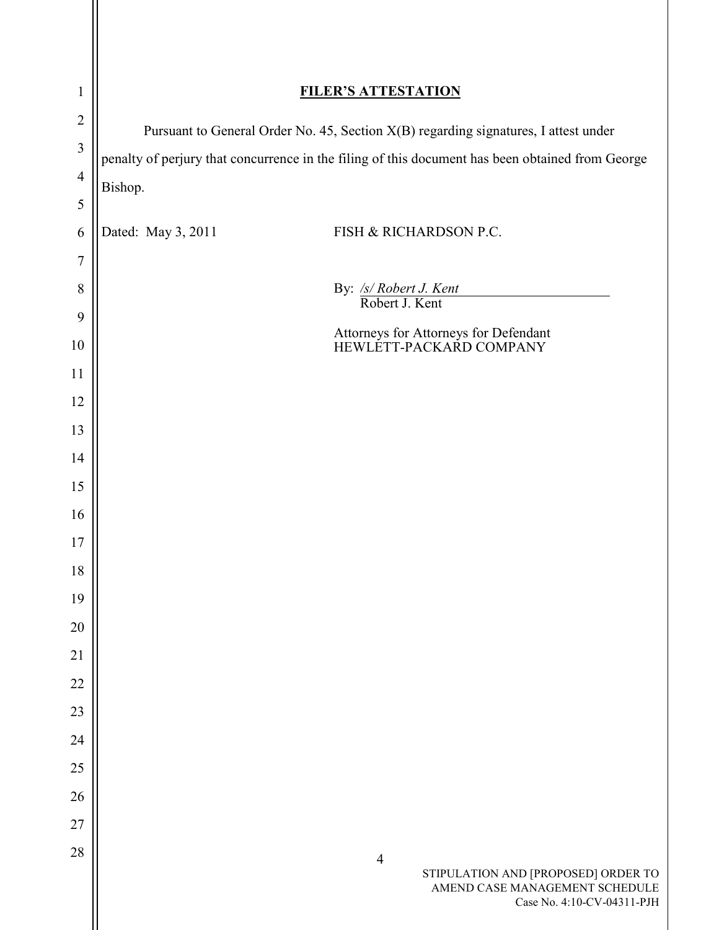| $\mathbf{1}$   | <b>FILER'S ATTESTATION</b>                                                                                            |  |  |
|----------------|-----------------------------------------------------------------------------------------------------------------------|--|--|
| $\overline{2}$ | Pursuant to General Order No. 45, Section X(B) regarding signatures, I attest under                                   |  |  |
| $\overline{3}$ | penalty of perjury that concurrence in the filing of this document has been obtained from George                      |  |  |
| $\overline{4}$ | Bishop.                                                                                                               |  |  |
| 5              |                                                                                                                       |  |  |
| 6              | Dated: May 3, 2011<br>FISH & RICHARDSON P.C.                                                                          |  |  |
| 7              |                                                                                                                       |  |  |
| 8              | By: /s/ Robert J. Kent<br>Robert J. Kent                                                                              |  |  |
| 9<br>10        | Attorneys for Attorneys for Defendant                                                                                 |  |  |
| 11             | HEWLETT-PACKARD COMPANY                                                                                               |  |  |
| 12             |                                                                                                                       |  |  |
| 13             |                                                                                                                       |  |  |
| 14             |                                                                                                                       |  |  |
| 15             |                                                                                                                       |  |  |
| 16             |                                                                                                                       |  |  |
| 17             |                                                                                                                       |  |  |
| 18             |                                                                                                                       |  |  |
| 19             |                                                                                                                       |  |  |
| 20             |                                                                                                                       |  |  |
| 21             |                                                                                                                       |  |  |
| 22             |                                                                                                                       |  |  |
| 23             |                                                                                                                       |  |  |
| 24             |                                                                                                                       |  |  |
| 25             |                                                                                                                       |  |  |
| 26             |                                                                                                                       |  |  |
| 27             |                                                                                                                       |  |  |
| 28             | $\overline{4}$<br>STIPULATION AND [PROPOSED] ORDER TO<br>AMEND CASE MANAGEMENT SCHEDULE<br>Case No. 4:10-CV-04311-PJH |  |  |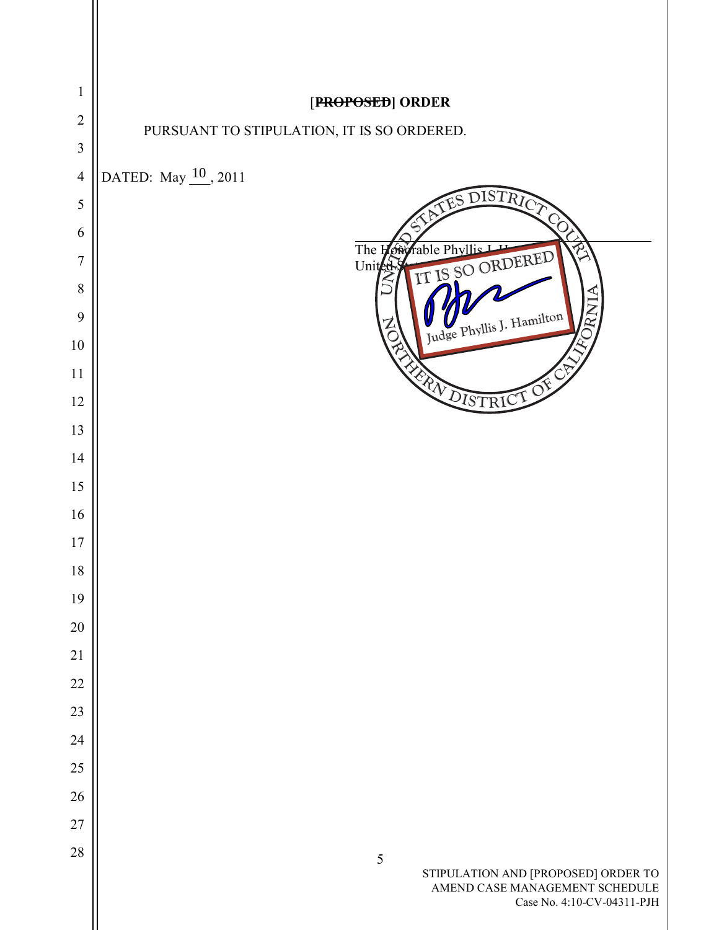| 1              | [PROPOSED] ORDER                                                                                                  |
|----------------|-------------------------------------------------------------------------------------------------------------------|
| $\overline{2}$ | PURSUANT TO STIPULATION, IT IS SO ORDERED.                                                                        |
| $\mathfrak{Z}$ |                                                                                                                   |
| $\overline{4}$ | DATED: May 10, 2011                                                                                               |
| 5              | DISTRI                                                                                                            |
| 6              |                                                                                                                   |
| $\overline{7}$ | rable Phyllis L<br>$\mathcal{P}_1$<br>The L<br>ØÑ<br>IT IS SO ORDERED<br>United                                   |
| 8<br>9         | INW                                                                                                               |
| $10\,$         | Judge Phyllis J. Hamilton<br>➢                                                                                    |
| 11             |                                                                                                                   |
| 12             | <b>EXPLOISTRICE OF</b>                                                                                            |
| 13             |                                                                                                                   |
| 14             |                                                                                                                   |
| 15             |                                                                                                                   |
| 16             |                                                                                                                   |
| 17             |                                                                                                                   |
| 18             |                                                                                                                   |
| 19             |                                                                                                                   |
| 20             |                                                                                                                   |
| 21             |                                                                                                                   |
| 22             |                                                                                                                   |
| 23             |                                                                                                                   |
| 24             |                                                                                                                   |
| $25\,$         |                                                                                                                   |
| 26             |                                                                                                                   |
| $27\,$         |                                                                                                                   |
| 28             | $\sqrt{5}$<br>STIPULATION AND [PROPOSED] ORDER TO<br>AMEND CASE MANAGEMENT SCHEDULE<br>Case No. 4:10-CV-04311-PJH |